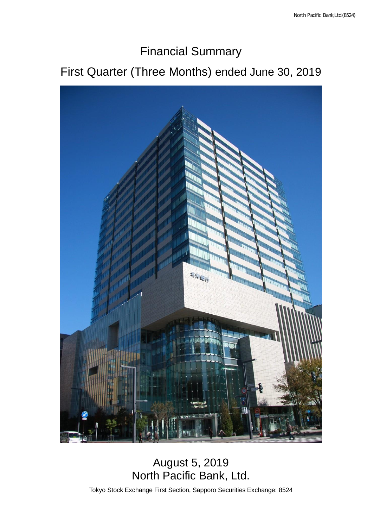## Financial Summary

# First Quarter (Three Months) ended June 30, 2019



### August 5, 2019 North Pacific Bank, Ltd.

Tokyo Stock Exchange First Section, Sapporo Securities Exchange: 8524